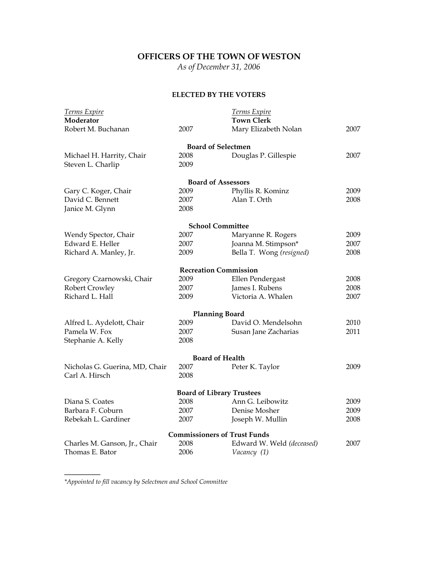# **OFFICERS OF THE TOWN OF WESTON**

*As of December 31, 2006* 

## **ELECTED BY THE VOTERS**

| Terms Expire                   |      | <b>Terms Expire</b>                 |      |
|--------------------------------|------|-------------------------------------|------|
| Moderator                      |      | <b>Town Clerk</b>                   |      |
| Robert M. Buchanan             | 2007 | Mary Elizabeth Nolan                | 2007 |
|                                |      | <b>Board of Selectmen</b>           |      |
| Michael H. Harrity, Chair      | 2008 | Douglas P. Gillespie                | 2007 |
| Steven L. Charlip              | 2009 |                                     |      |
|                                |      | <b>Board of Assessors</b>           |      |
| Gary C. Koger, Chair           | 2009 | Phyllis R. Kominz                   | 2009 |
| David C. Bennett               | 2007 | Alan T. Orth                        | 2008 |
| Janice M. Glynn                | 2008 |                                     |      |
|                                |      | <b>School Committee</b>             |      |
| Wendy Spector, Chair           | 2007 | Maryanne R. Rogers                  | 2009 |
| Edward E. Heller               | 2007 | Joanna M. Stimpson*                 | 2007 |
| Richard A. Manley, Jr.         | 2009 | Bella T. Wong (resigned)            | 2008 |
|                                |      | <b>Recreation Commission</b>        |      |
| Gregory Czarnowski, Chair      | 2009 | Ellen Pendergast                    | 2008 |
| Robert Crowley                 | 2007 | James I. Rubens                     | 2008 |
| Richard L. Hall                | 2009 | Victoria A. Whalen                  | 2007 |
|                                |      | <b>Planning Board</b>               |      |
| Alfred L. Aydelott, Chair      | 2009 | David O. Mendelsohn                 | 2010 |
| Pamela W. Fox                  | 2007 | Susan Jane Zacharias                | 2011 |
| Stephanie A. Kelly             | 2008 |                                     |      |
|                                |      | <b>Board of Health</b>              |      |
| Nicholas G. Guerina, MD, Chair | 2007 | Peter K. Taylor                     | 2009 |
| Carl A. Hirsch                 | 2008 |                                     |      |
|                                |      | <b>Board of Library Trustees</b>    |      |
| Diana S. Coates                | 2008 | Ann G. Leibowitz                    | 2009 |
| Barbara F. Coburn              | 2007 | Denise Mosher                       | 2009 |
| Rebekah L. Gardiner            | 2007 | Joseph W. Mullin                    | 2008 |
|                                |      | <b>Commissioners of Trust Funds</b> |      |
| Charles M. Ganson, Jr., Chair  | 2008 | Edward W. Weld (deceased)           | 2007 |
| Thomas E. Bator                | 2006 | Vacancy (1)                         |      |

*\*Appointed to fill vacancy by Selectmen and School Committee*

**\_\_\_\_\_\_\_\_\_\_**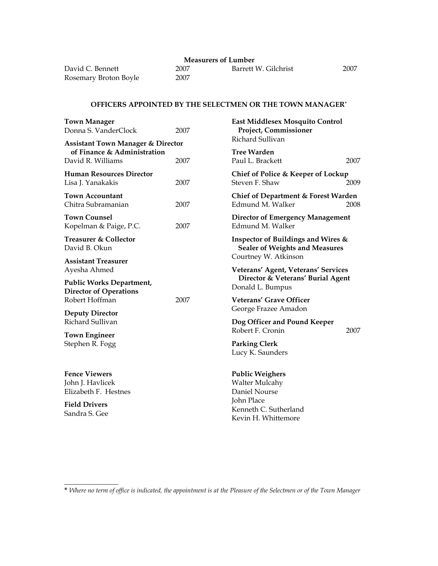2007

| David C. Bennett      | 2007 |
|-----------------------|------|
| Rosemary Broton Boyle | 2007 |

**\_\_\_\_\_\_\_\_\_\_\_\_\_\_\_** 

Barrett W. Gilchrist 2007

## **OFFICERS APPOINTED BY THE SELECTMEN OR THE TOWN MANAGER\***

| <b>Town Manager</b><br>Donna S. VanderClock                                                      | 2007 | East Middlesex Mosquito Control<br>Project, Commissioner                                         |      |
|--------------------------------------------------------------------------------------------------|------|--------------------------------------------------------------------------------------------------|------|
| <b>Assistant Town Manager &amp; Director</b><br>of Finance & Administration<br>David R. Williams | 2007 | Richard Sullivan<br><b>Tree Warden</b><br>Paul L. Brackett                                       | 2007 |
| <b>Human Resources Director</b><br>Lisa J. Yanakakis                                             | 2007 | Chief of Police & Keeper of Lockup<br>Steven F. Shaw                                             | 2009 |
| <b>Town Accountant</b><br>Chitra Subramanian                                                     | 2007 | Chief of Department & Forest Warden<br>Edmund M. Walker                                          | 2008 |
| <b>Town Counsel</b><br>Kopelman & Paige, P.C.                                                    | 2007 | <b>Director of Emergency Management</b><br>Edmund M. Walker                                      |      |
| <b>Treasurer &amp; Collector</b><br>David B. Okun                                                |      | Inspector of Buildings and Wires &<br><b>Sealer of Weights and Measures</b>                      |      |
| <b>Assistant Treasurer</b><br>Ayesha Ahmed<br><b>Public Works Department,</b>                    |      | Courtney W. Atkinson<br>Veterans' Agent, Veterans' Services<br>Director & Veterans' Burial Agent |      |
| <b>Director of Operations</b><br>Robert Hoffman                                                  | 2007 | Donald L. Bumpus<br>Veterans' Grave Officer                                                      |      |
| <b>Deputy Director</b><br>Richard Sullivan                                                       |      | George Frazee Amadon<br>Dog Officer and Pound Keeper<br>Robert F. Cronin                         | 2007 |
| <b>Town Engineer</b><br>Stephen R. Fogg                                                          |      | <b>Parking Clerk</b><br>Lucy K. Saunders                                                         |      |
| <b>Fence Viewers</b><br>John J. Havlicek<br>Elizabeth F. Hestnes                                 |      | <b>Public Weighers</b><br><b>Walter Mulcahy</b><br>Daniel Nourse                                 |      |
| <b>Field Drivers</b><br>Sandra S. Gee                                                            |      | John Place<br>Kenneth C. Sutherland<br>Kevin H. Whittemore                                       |      |
|                                                                                                  |      |                                                                                                  |      |

**<sup>\*</sup>** *Where no term of office is indicated, the appointment is at the Pleasure of the Selectmen or of the Town Manager*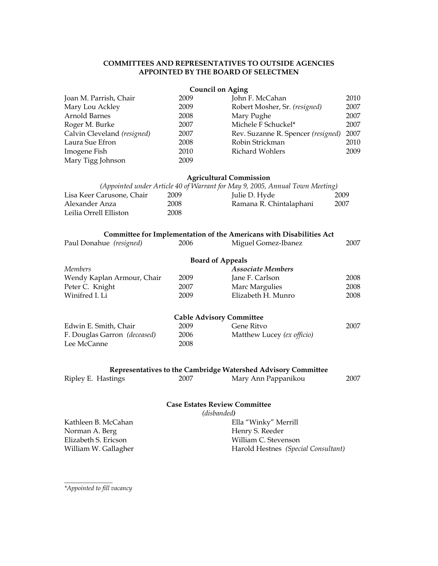### **COMMITTEES AND REPRESENTATIVES TO OUTSIDE AGENCIES APPOINTED BY THE BOARD OF SELECTMEN**

|                              |      | <b>Council on Aging</b>                                                      |      |
|------------------------------|------|------------------------------------------------------------------------------|------|
| Joan M. Parrish, Chair       | 2009 | John F. McCahan                                                              | 2010 |
| Mary Lou Ackley              | 2009 | Robert Mosher, Sr. (resigned)                                                | 2007 |
| Arnold Barnes                | 2008 | Mary Pughe                                                                   | 2007 |
| Roger M. Burke               | 2007 | Michele F Schuckel*                                                          | 2007 |
| Calvin Cleveland (resigned)  | 2007 | Rev. Suzanne R. Spencer (resigned)                                           | 2007 |
| Laura Sue Efron              | 2008 | Robin Strickman                                                              | 2010 |
| Imogene Fish                 | 2010 | <b>Richard Wohlers</b>                                                       | 2009 |
| Mary Tigg Johnson            | 2009 |                                                                              |      |
|                              |      | <b>Agricultural Commission</b>                                               |      |
|                              |      | (Appointed under Article 40 of Warrant for May 9, 2005, Annual Town Meeting) |      |
| Lisa Keer Carusone, Chair    | 2009 | Julie D. Hyde                                                                | 2009 |
| Alexander Anza               | 2008 | Ramana R. Chintalaphani                                                      | 2007 |
| Leilia Orrell Elliston       | 2008 |                                                                              |      |
|                              |      | Committee for Implementation of the Americans with Disabilities Act          |      |
| Paul Donahue (resigned)      | 2006 | Miguel Gomez-Ibanez                                                          | 2007 |
|                              |      | <b>Board of Appeals</b>                                                      |      |
| <b>Members</b>               |      | <b>Associate Members</b>                                                     |      |
| Wendy Kaplan Armour, Chair   | 2009 | Jane F. Carlson                                                              | 2008 |
| Peter C. Knight              | 2007 | Marc Margulies                                                               | 2008 |
| Winifred I. Li               | 2009 | Elizabeth H. Munro                                                           | 2008 |
|                              |      | <b>Cable Advisory Committee</b>                                              |      |
| Edwin E. Smith, Chair        | 2009 | Gene Ritvo                                                                   | 2007 |
| F. Douglas Garron (deceased) | 2006 | Matthew Lucey (ex officio)                                                   |      |
| Lee McCanne                  | 2008 |                                                                              |      |
|                              |      |                                                                              |      |
|                              |      | Representatives to the Cambridge Watershed Advisory Committee                |      |
| Ripley E. Hastings           | 2007 | Mary Ann Pappanikou                                                          | 2007 |
|                              |      | <b>Case Estates Review Committee</b>                                         |      |
|                              |      | (disbanded)                                                                  |      |
| Kathleen B. McCahan          |      | Ella "Winky" Merrill                                                         |      |
| Norman A. Berg               |      | Henry S. Reeder                                                              |      |
| Elizabeth S. Ericson         |      | William C. Stevenson                                                         |      |

Harold Hestnes *(Special Consultant)*

*\*Appointed to fill vacancy* 

*\_\_\_\_\_\_\_\_\_\_\_\_\_\_\_* 

William W. Gallagher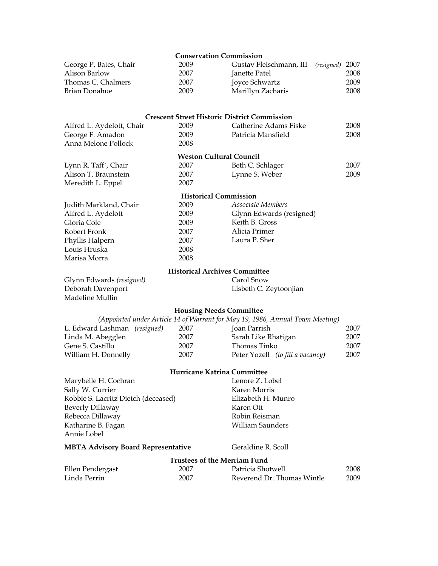|                                           | <b>Conservation Commission</b>       |                                                                               |      |
|-------------------------------------------|--------------------------------------|-------------------------------------------------------------------------------|------|
| George P. Bates, Chair                    | 2009                                 | Gustav Fleischmann, III<br>(resigned) 2007                                    |      |
| Alison Barlow                             | 2007                                 | Janette Patel                                                                 | 2008 |
| Thomas C. Chalmers                        | 2007                                 | Joyce Schwartz                                                                | 2009 |
| Brian Donahue                             | 2009                                 | Marillyn Zacharis                                                             | 2008 |
|                                           |                                      | <b>Crescent Street Historic District Commission</b>                           |      |
| Alfred L. Aydelott, Chair                 | 2009                                 | Catherine Adams Fiske                                                         | 2008 |
| George F. Amadon                          | 2009                                 | Patricia Mansfield                                                            | 2008 |
| Anna Melone Pollock                       | 2008                                 |                                                                               |      |
|                                           | <b>Weston Cultural Council</b>       |                                                                               |      |
| Lynn R. Taff`, Chair                      | 2007                                 | Beth C. Schlager                                                              | 2007 |
| Alison T. Braunstein                      | 2007                                 | Lynne S. Weber                                                                | 2009 |
| Meredith L. Eppel                         | 2007                                 |                                                                               |      |
|                                           | <b>Historical Commission</b>         |                                                                               |      |
| Judith Markland, Chair                    | 2009                                 | Associate Members                                                             |      |
| Alfred L. Aydelott                        | 2009                                 | Glynn Edwards (resigned)                                                      |      |
| Gloria Cole                               | 2009                                 | Keith B. Gross                                                                |      |
| Robert Fronk                              | 2007                                 | Alicia Primer                                                                 |      |
| Phyllis Halpern                           | 2007                                 | Laura P. Sher                                                                 |      |
| Louis Hruska                              | 2008                                 |                                                                               |      |
| Marisa Morra                              | 2008                                 |                                                                               |      |
|                                           | <b>Historical Archives Committee</b> |                                                                               |      |
| Glynn Edwards (resigned)                  |                                      | Carol Snow                                                                    |      |
| Deborah Davenport<br>Madeline Mullin      |                                      | Lisbeth C. Zeytoonjian                                                        |      |
|                                           | <b>Housing Needs Committee</b>       |                                                                               |      |
|                                           |                                      | (Appointed under Article 14 of Warrant for May 19, 1986, Annual Town Meeting) |      |
| L. Edward Lashman (resigned)              | 2007                                 | Joan Parrish                                                                  | 2007 |
| Linda M. Abegglen                         | 2007                                 | Sarah Like Rhatigan                                                           | 2007 |
| Gene S. Castillo                          | 2007                                 | Thomas Tinko                                                                  | 2007 |
| William H. Donnelly                       | 2007                                 | Peter Yozell (to fill a vacancy)                                              | 2007 |
|                                           | Hurricane Katrina Committee          |                                                                               |      |
| Marybelle H. Cochran                      |                                      | Lenore Z. Lobel                                                               |      |
| Sally W. Currier                          |                                      | Karen Morris                                                                  |      |
| Robbie S. Lacritz Dietch (deceased)       |                                      | Elizabeth H. Munro                                                            |      |
| <b>Beverly Dillaway</b>                   |                                      | Karen Ott                                                                     |      |
| Rebecca Dillaway                          |                                      | Robin Reisman                                                                 |      |
| Katharine B. Fagan                        |                                      | <b>William Saunders</b>                                                       |      |
| Annie Lobel                               |                                      |                                                                               |      |
| <b>MBTA Advisory Board Representative</b> |                                      | Geraldine R. Scoll                                                            |      |
|                                           | <b>Trustees of the Merriam Fund</b>  |                                                                               |      |
| Ellen Pendergast                          | 2007                                 | Patricia Shotwell                                                             | 2008 |
| Linda Perrin                              | 2007                                 | Reverend Dr. Thomas Wintle                                                    | 2009 |
|                                           |                                      |                                                                               |      |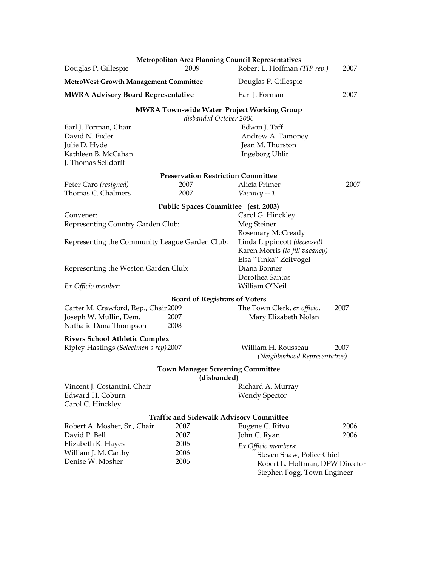| Douglas P. Gillespie                                                                                    | <b>Metropolitan Area Planning Council Representatives</b><br>2009           | Robert L. Hoffman (TIP rep.)                                                                | 2007 |
|---------------------------------------------------------------------------------------------------------|-----------------------------------------------------------------------------|---------------------------------------------------------------------------------------------|------|
| <b>MetroWest Growth Management Committee</b>                                                            |                                                                             | Douglas P. Gillespie                                                                        |      |
| <b>MWRA Advisory Board Representative</b>                                                               |                                                                             | Earl J. Forman                                                                              | 2007 |
|                                                                                                         | <b>MWRA Town-wide Water Project Working Group</b><br>disbanded October 2006 |                                                                                             |      |
| Earl J. Forman, Chair<br>David N. Fixler<br>Julie D. Hyde<br>Kathleen B. McCahan<br>J. Thomas Selldorff |                                                                             | Edwin J. Taff<br>Andrew A. Tamoney<br>Jean M. Thurston<br>Ingeborg Uhlir                    |      |
|                                                                                                         | <b>Preservation Restriction Committee</b>                                   |                                                                                             |      |
| Peter Caro (resigned)<br>Thomas C. Chalmers                                                             | 2007<br>2007                                                                | Alicia Primer<br>Vacancy -- 1                                                               | 2007 |
|                                                                                                         | Public Spaces Committee (est. 2003)                                         |                                                                                             |      |
| Convener:<br>Representing Country Garden Club:                                                          |                                                                             | Carol G. Hinckley<br>Meg Steiner<br>Rosemary McCready                                       |      |
| Representing the Community League Garden Club:                                                          |                                                                             | Linda Lippincott (deceased)<br>Karen Morris (to fill vacancy)<br>Elsa "Tinka" Zeitvogel     |      |
| Representing the Weston Garden Club:                                                                    |                                                                             | Diana Bonner<br>Dorothea Santos                                                             |      |
| Ex Officio member:                                                                                      |                                                                             | William O'Neil                                                                              |      |
| Carter M. Crawford, Rep., Chair2009<br>Joseph W. Mullin, Dem.<br>Nathalie Dana Thompson                 | <b>Board of Registrars of Voters</b><br>2007<br>2008                        | The Town Clerk, ex officio,<br>Mary Elizabeth Nolan                                         | 2007 |
| <b>Rivers School Athletic Complex</b><br>Ripley Hastings (Selectmen's rep) 2007                         |                                                                             | William H. Rousseau<br>(Neighborhood Representative)                                        | 2007 |
|                                                                                                         | <b>Town Manager Screening Committee</b>                                     |                                                                                             |      |
|                                                                                                         | (disbanded)                                                                 |                                                                                             |      |
| Vincent J. Costantini, Chair<br>Edward H. Coburn<br>Carol C. Hinckley                                   |                                                                             | Richard A. Murray<br><b>Wendy Spector</b>                                                   |      |
|                                                                                                         | <b>Traffic and Sidewalk Advisory Committee</b>                              |                                                                                             |      |
| Robert A. Mosher, Sr., Chair                                                                            | 2007                                                                        | Eugene C. Ritvo                                                                             | 2006 |
| David P. Bell                                                                                           | 2007                                                                        | John C. Ryan                                                                                | 2006 |
| Elizabeth K. Hayes<br>William J. McCarthy                                                               | 2006<br>2006                                                                | Ex Officio members:                                                                         |      |
| Denise W. Mosher                                                                                        | 2006                                                                        | Steven Shaw, Police Chief<br>Robert L. Hoffman, DPW Director<br>Stephen Fogg, Town Engineer |      |
|                                                                                                         |                                                                             |                                                                                             |      |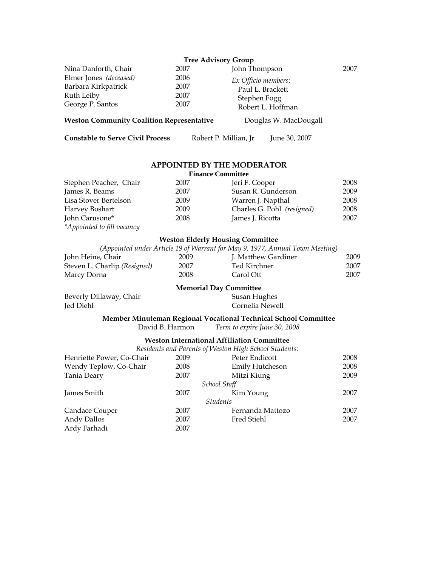|                                                  | <b>Tree Advisory Group</b> |                       |      |
|--------------------------------------------------|----------------------------|-----------------------|------|
| Nina Danforth, Chair                             | 2007                       | John Thompson         | 2007 |
| Elmer Jones (deceased)                           | 2006                       | Ex Officio members:   |      |
| Barbara Kirkpatrick                              | 2007                       | Paul L. Brackett      |      |
| Ruth Leiby                                       | 2007                       | Stephen Fogg          |      |
| George P. Santos                                 | 2007                       | Robert L. Hoffman     |      |
| <b>Weston Community Coalition Representative</b> |                            | Douglas W. MacDougall |      |

**Constable to Serve Civil Process** Robert P. Millian, Jr June 30, 2007

#### **APPOINTED BY THE MODERATOR**  Finance Comm

| <b>Finance Committee</b>   |      |                            |      |
|----------------------------|------|----------------------------|------|
| Stephen Peacher, Chair     | 2007 | Jeri F. Cooper             | 2008 |
| James R. Beams             | 2007 | Susan R. Gunderson         | 2009 |
| Lisa Stover Bertelson      | 2009 | Warren J. Napthal          | 2008 |
| Harvey Boshart             | 2009 | Charles G. Pohl (resigned) | 2008 |
| John Carusone*             | 2008 | James J. Ricotta           | 2007 |
| *Appointed to fill vacancy |      |                            |      |

### **Weston Elderly Housing Committee**

|                              |      | (Appointed under Article 19 of Warrant for May 9, 1977, Annual Town Meeting) |      |
|------------------------------|------|------------------------------------------------------------------------------|------|
| John Heine, Chair            | 2009 | J. Matthew Gardiner                                                          | 2009 |
| Steven L. Charlip (Resigned) | 2007 | Ted Kirchner                                                                 | 2007 |
| Marcy Dorna                  | 2008 | Carol Ott                                                                    | 2007 |

### **Memorial Day Committee**

Beverly Dillaway, Chair Jed Diehl

Susan Hughes Cornelia Newell

### **Member Minuteman Regional Vocational Technical School Committee** David B. Harmon *Term to expire June 30, 2008*

### **Weston International Affiliation Committee**

*Residents and Parents of Weston High School Students:* 

|                           |      | Trestaents and I arents of Preston Titxh School Statents. |      |  |
|---------------------------|------|-----------------------------------------------------------|------|--|
| Henriette Power, Co-Chair | 2009 | Peter Endicott                                            | 2008 |  |
| Wendy Teplow, Co-Chair    | 2008 | <b>Emily Hutcheson</b>                                    | 2008 |  |
| Tania Deary               | 2007 | Mitzi Kiung                                               | 2009 |  |
| School Staff              |      |                                                           |      |  |
| James Smith               | 2007 | Kim Young                                                 | 2007 |  |
| <i>Students</i>           |      |                                                           |      |  |
| Candace Couper            | 2007 | Fernanda Mattozo                                          | 2007 |  |
| Andy Dallos               | 2007 | Fred Stiehl                                               | 2007 |  |
| Ardy Farhadi              | 2007 |                                                           |      |  |
|                           |      |                                                           |      |  |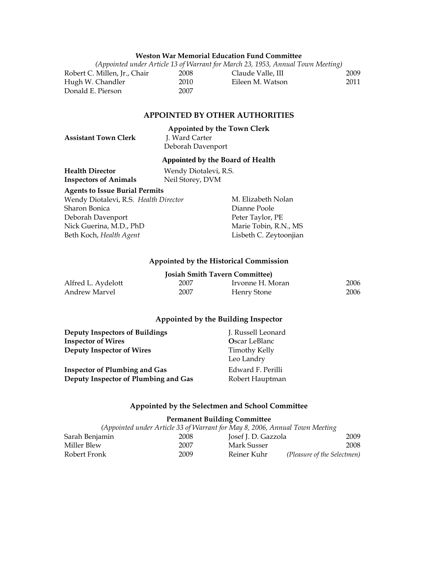#### **Weston War Memorial Education Fund Committee**

*(Appointed under Article 13 of Warrant for March 23, 1953, Annual Town Meeting)* Robert C. Millen, Jr., Chair 2008 Hugh W. Chandler 2010 Donald E. Pierson 2007 Claude Valle, III 2009 Eileen M. Watson 2011

#### **APPOINTED BY OTHER AUTHORITIES**

# **Appointed by the Town Clerk Assistant Town Clerk** Deborah Davenport

#### **Appointed by the Board of Health**

| <b>Health Director</b>       | Wendy Diotalevi, R.S. |
|------------------------------|-----------------------|
| <b>Inspectors of Animals</b> | Neil Storey, DVM      |

#### **Agents to Issue Burial Permits**

Wendy Diotalevi, R.S. *Health Director* Sharon Bonica Deborah Davenport Nick Guerina, M.D., PhD Beth Koch, *Health Agent*

M. Elizabeth Nolan Dianne Poole Peter Taylor, PE Marie Tobin, R.N., MS Lisbeth C. Zeytoonjian

#### **Appointed by the Historical Commission**

| <b>Josiah Smith Tavern Committee)</b> |      |                  |      |  |  |
|---------------------------------------|------|------------------|------|--|--|
| Alfred L. Aydelott                    | 2007 | Irvonne H. Moran | 2006 |  |  |
| Andrew Marvel                         | 2007 | Henry Stone      | 2006 |  |  |

#### **Appointed by the Building Inspector**

| <b>Deputy Inspectors of Buildings</b> | J. Russell Leonard          |
|---------------------------------------|-----------------------------|
| <b>Inspector of Wires</b>             | Oscar LeBlanc               |
| <b>Deputy Inspector of Wires</b>      | Timothy Kelly<br>Leo Landry |
| <b>Inspector of Plumbing and Gas</b>  | Edward F. Perilli           |
| Deputy Inspector of Plumbing and Gas  | Robert Hauptman             |

#### **Appointed by the Selectmen and School Committee**

#### **Permanent Building Committee**

| (Appointed under Article 33 of Warrant for May 8, 2006, Annual Town Meeting |  |      |                     |                             |
|-----------------------------------------------------------------------------|--|------|---------------------|-----------------------------|
| Sarah Benjamin                                                              |  | 2008 | Josef J. D. Gazzola | 2009                        |
| Miller Blew                                                                 |  | 2007 | Mark Susser         | 2008                        |
| Robert Fronk                                                                |  | 2009 | Reiner Kuhr         | (Pleasure of the Selectmen) |